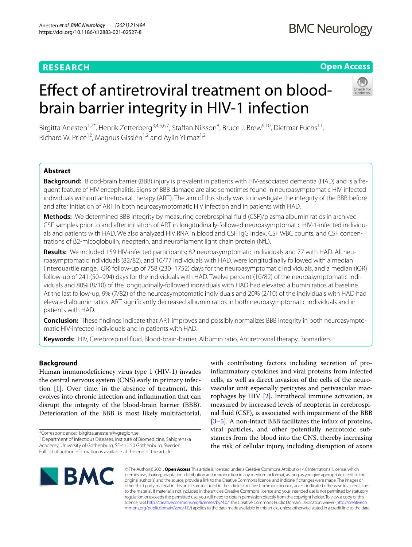# **RESEARCH**

# **Open Access**

# Efect of antiretroviral treatment on bloodbrain barrier integrity in HIV-1 infection



Birgitta Anesten<sup>1,2\*</sup>, Henrik Zetterberg<sup>3,4,5,6,7</sup>, Staffan Nilsson<sup>8</sup>, Bruce J. Brew<sup>9,10</sup>, Dietmar Fuchs<sup>11</sup>, Richard W. Price<sup>12</sup>, Magnus Gisslén<sup>1,2</sup> and Aylin Yilmaz<sup>1,2</sup>

## **Abstract**

**Background:** Blood-brain barrier (BBB) injury is prevalent in patients with HIV-associated dementia (HAD) and is a frequent feature of HIV encephalitis. Signs of BBB damage are also sometimes found in neuroasymptomatic HIV-infected individuals without antiretroviral therapy (ART). The aim of this study was to investigate the integrity of the BBB before and after initiation of ART in both neuroasymptomatic HIV infection and in patients with HAD.

**Methods:** We determined BBB integrity by measuring cerebrospinal fuid (CSF)/plasma albumin ratios in archived CSF samples prior to and after initiation of ART in longitudinally-followed neuroasymptomatic HIV-1-infected individuals and patients with HAD. We also analyzed HIV RNA in blood and CSF, IgG Index, CSF WBC counts, and CSF concentrations of β2-micoglobulin, neopterin, and neuroflament light chain protein (NfL).

**Results:** We included 159 HIV-infected participants; 82 neuroasymptomatic individuals and 77 with HAD. All neuroasymptomatic individuals (82/82), and 10/77 individuals with HAD, were longitudinally followed with a median (interquartile range, IQR) follow-up of 758 (230–1752) days for the neuroasymptomatic individuals, and a median (IQR) follow-up of 241 (50–994) days for the individuals with HAD. Twelve percent (10/82) of the neuroasymptomatic individuals and 80% (8/10) of the longitudinally-followed individuals with HAD had elevated albumin ratios at baseline. At the last follow-up, 9% (7/82) of the neuroasymptomatic individuals and 20% (2/10) of the individuals with HAD had elevated albumin ratios. ART signifcantly decreased albumin ratios in both neuroasymptomatic individuals and in patients with HAD.

**Conclusion:** These fndings indicate that ART improves and possibly normalizes BBB integrity in both neuroasymptomatic HIV-infected individuals and in patients with HAD.

**Keywords:** HIV, Cerebrospinal fuid, Blood-brain-barrier, Albumin ratio, Antiretroviral therapy, Biomarkers

### **Background**

Human immunodefciency virus type 1 (HIV-1) invades the central nervous system (CNS) early in primary infection [\[1](#page-7-0)]. Over time, in the absence of treatment, this evolves into chronic infection and infammation that can disrupt the integrity of the blood-brain barrier (BBB). Deterioration of the BBB is most likely multifactorial,

with contributing factors including secretion of proinfammatory cytokines and viral proteins from infected cells, as well as direct invasion of the cells of the neurovascular unit especially pericytes and perivascular macrophages by HIV [\[2](#page-7-1)]. Intrathecal immune activation, as measured by increased levels of neopterin in cerebrospinal fuid (CSF), is associated with impairment of the BBB [[3–](#page-7-2)[5\]](#page-7-3). A non-intact BBB facilitates the infux of proteins, viral particles, and other potentially neurotoxic substances from the blood into the CNS, thereby increasing the risk of cellular injury, including disruption of axons



© The Author(s) 2021. **Open Access** This article is licensed under a Creative Commons Attribution 4.0 International License, which permits use, sharing, adaptation, distribution and reproduction in any medium or format, as long as you give appropriate credit to the original author(s) and the source, provide a link to the Creative Commons licence, and indicate if changes were made. The images or other third party material in this article are included in the article's Creative Commons licence, unless indicated otherwise in a credit line to the material. If material is not included in the article's Creative Commons licence and your intended use is not permitted by statutory regulation or exceeds the permitted use, you will need to obtain permission directly from the copyright holder. To view a copy of this licence, visit [http://creativecommons.org/licenses/by/4.0/.](http://creativecommons.org/licenses/by/4.0/) The Creative Commons Public Domain Dedication waiver ([http://creativeco](http://creativecommons.org/publicdomain/zero/1.0/) [mmons.org/publicdomain/zero/1.0/](http://creativecommons.org/publicdomain/zero/1.0/)) applies to the data made available in this article, unless otherwise stated in a credit line to the data.

<sup>\*</sup>Correspondence: birgitta.anesten@vgregion.se

<sup>&</sup>lt;sup>1</sup> Department of Infectious Diseases, Institute of Biomedicine, Sahlgrenska Academy, University of Gothenburg, SE-415 50 Gothenburg, Sweden Full list of author information is available at the end of the article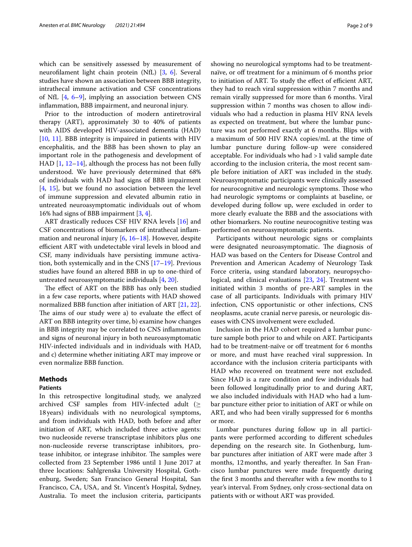which can be sensitively assessed by measurement of neuroflament light chain protein (NfL) [\[3](#page-7-2), [6\]](#page-7-4). Several studies have shown an association between BBB integrity, intrathecal immune activation and CSF concentrations of NfL [\[4](#page-7-5), [6](#page-7-4)[–9](#page-7-6)], implying an association between CNS infammation, BBB impairment, and neuronal injury.

Prior to the introduction of modern antiretroviral therapy (ART), approximately 30 to 40% of patients with AIDS developed HIV-associated dementia (HAD) [[10,](#page-7-7) [11](#page-7-8)]. BBB integrity is impaired in patients with HIV encephalitis, and the BBB has been shown to play an important role in the pathogenesis and development of HAD [[1,](#page-7-0) [12](#page-7-9)[–14](#page-7-10)], although the process has not been fully understood. We have previously determined that 68% of individuals with HAD had signs of BBB impairment [[4,](#page-7-5) [15\]](#page-7-11), but we found no association between the level of immune suppression and elevated albumin ratio in untreated neuroasymptomatic individuals out of whom 16% had signs of BBB impairment [\[3](#page-7-2), [4\]](#page-7-5).

ART drastically reduces CSF HIV RNA levels [\[16](#page-7-12)] and CSF concentrations of biomarkers of intrathecal infammation and neuronal injury [\[6](#page-7-4), [16](#page-7-12)[–18\]](#page-7-13). However, despite efficient ART with undetectable viral levels in blood and CSF, many individuals have persisting immune activation, both systemically and in the CNS [\[17](#page-7-14)[–19\]](#page-7-15). Previous studies have found an altered BBB in up to one-third of untreated neuroasymptomatic individuals [\[4](#page-7-5), [20](#page-7-16)].

The effect of ART on the BBB has only been studied in a few case reports, where patients with HAD showed normalized BBB function after initiation of ART [[21,](#page-7-17) [22](#page-7-18)]. The aims of our study were a) to evaluate the effect of ART on BBB integrity over time, b) examine how changes in BBB integrity may be correlated to CNS infammation and signs of neuronal injury in both neuroasymptomatic HIV-infected individuals and in individuals with HAD, and c) determine whether initiating ART may improve or even normalize BBB function.

#### **Methods**

#### **Patients**

In this retrospective longitudinal study, we analyzed archived CSF samples from HIV-infected adult (≥ 18years) individuals with no neurological symptoms, and from individuals with HAD, both before and after initiation of ART, which included three active agents: two nucleoside reverse transcriptase inhibitors plus one non-nucleoside reverse transcriptase inhibitors, protease inhibitor, or integrase inhibitor. The samples were collected from 23 September 1986 until 1 June 2017 at three locations: Sahlgrenska University Hospital, Gothenburg, Sweden; San Francisco General Hospital, San Francisco, CA, USA, and St. Vincent's Hospital, Sydney, Australia. To meet the inclusion criteria, participants showing no neurological symptoms had to be treatmentnaïve, or off treatment for a minimum of 6 months prior to initiation of ART. To study the effect of efficient ART, they had to reach viral suppression within 7 months and remain virally suppressed for more than 6 months. Viral suppression within 7 months was chosen to allow individuals who had a reduction in plasma HIV RNA levels as expected on treatment, but where the lumbar puncture was not performed exactly at 6 months. Blips with a maximum of 500 HIV RNA copies/mL at the time of lumbar puncture during follow-up were considered acceptable. For individuals who had >1 valid sample date according to the inclusion criteria, the most recent sample before initiation of ART was included in the study. Neuroasymptomatic participants were clinically assessed for neurocognitive and neurologic symptoms. Those who had neurologic symptoms or complaints at baseline, or developed during follow up, were excluded in order to more clearly evaluate the BBB and the associations with other biomarkers. No routine neurocognitive testing was performed on neuroasymptomatic patients.

Participants without neurologic signs or complaints were designated neuroasymptomatic. The diagnosis of HAD was based on the Centers for Disease Control and Prevention and American Academy of Neurology Task Force criteria, using standard laboratory, neuropsychological, and clinical evaluations [[23,](#page-8-0) [24](#page-8-1)]. Treatment was initiated within 3 months of pre-ART samples in the case of all participants. Individuals with primary HIV infection, CNS opportunistic or other infections, CNS neoplasms, acute cranial nerve paresis, or neurologic diseases with CNS involvement were excluded.

Inclusion in the HAD cohort required a lumbar puncture sample both prior to and while on ART. Participants had to be treatment-naïve or off treatment for 6 months or more, and must have reached viral suppression. In accordance with the inclusion criteria participants with HAD who recovered on treatment were not excluded. Since HAD is a rare condition and few individuals had been followed longitudinally prior to and during ART, we also included individuals with HAD who had a lumbar puncture either prior to initiation of ART or while on ART, and who had been virally suppressed for 6 months or more.

Lumbar punctures during follow up in all participants were performed according to diferent schedules depending on the research site. In Gothenburg, lumbar punctures after initiation of ART were made after 3 months, 12months, and yearly thereafter. In San Francisco lumbar punctures were made frequently during the frst 3 months and thereafter with a few months to 1 year's interval. From Sydney, only cross-sectional data on patients with or without ART was provided.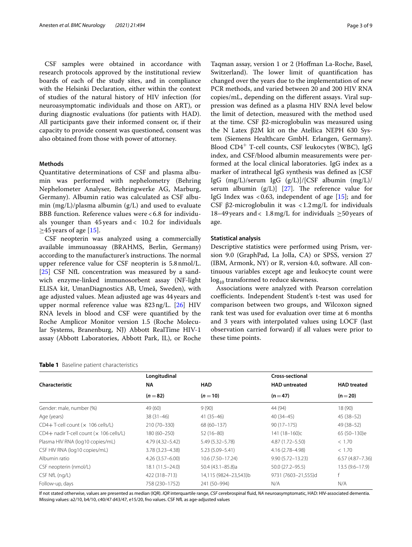CSF samples were obtained in accordance with research protocols approved by the institutional review boards of each of the study sites, and in compliance with the Helsinki Declaration, either within the context of studies of the natural history of HIV infection (for neuroasymptomatic individuals and those on ART), or during diagnostic evaluations (for patients with HAD). All participants gave their informed consent or, if their capacity to provide consent was questioned, consent was also obtained from those with power of attorney.

#### **Methods**

Quantitative determinations of CSF and plasma albumin was performed with nephelometry (Behring Nephelometer Analyser, Behringwerke AG, Marburg, Germany). Albumin ratio was calculated as CSF albumin  $(mg/L)/p$  as albumin  $(g/L)$  and used to evaluate BBB function. Reference values were < 6.8 for individuals younger than 45 years and < 10.2 for individuals  $\geq$ 45 years of age [[15\]](#page-7-11).

CSF neopterin was analyzed using a commercially available immunoassay (BRAHMS, Berlin, Germany) according to the manufacturer's instructions. The normal upper reference value for CSF neopterin is 5.8nmol/L. [[25\]](#page-8-2) CSF NfL concentration was measured by a sandwich enzyme-linked immunosorbent assay (NF-light ELISA kit, UmanDiagnostics AB, Umeå, Sweden), with age adjusted values. Mean adjusted age was 44years and upper normal reference value was 823ng/L. [[26\]](#page-8-3) HIV RNA levels in blood and CSF were quantifed by the Roche Amplicor Monitor version 1.5 (Roche Molecular Systems, Branenburg, NJ) Abbott RealTime HIV-1 assay (Abbott Laboratories, Abbott Park, IL), or Roche

<span id="page-2-0"></span>

|  |  | <b>Table 1</b> Baseline patient characteristics |  |
|--|--|-------------------------------------------------|--|
|--|--|-------------------------------------------------|--|

Taqman assay, version 1 or 2 (Hofman La-Roche, Basel, Switzerland). The lower limit of quantification has changed over the years due to the implementation of new PCR methods, and varied between 20 and 200 HIV RNA copies/mL, depending on the diferent assays. Viral suppression was defned as a plasma HIV RNA level below the limit of detection, measured with the method used at the time. CSF β2-microglobulin was measured using the N Latex β2M kit on the Atellica NEPH 630 System (Siemens Healthcare GmbH. Erlangen, Germany). Blood CD4<sup>+</sup> T-cell counts, CSF leukocytes (WBC), IgG index, and CSF/blood albumin measurements were performed at the local clinical laboratories. IgG index as a marker of intrathecal IgG synthesis was defned as [CSF IgG (mg/L)/serum IgG (g/L)]/[CSF albumin (mg/L)/ serum albumin  $(g/L)$ ] [[27](#page-8-4)]. The reference value for IgG Index was  $<0.63$ , independent of age [\[15](#page-7-11)]; and for CSF β2-microglobulin it was  $\langle 1.2 \text{ mg/L} \rangle$  for individuals 18–49 years and < 1.8 mg/L for individuals  $\geq$  50 years of age.

#### **Statistical analysis**

Descriptive statistics were performed using Prism, version 9.0 (GraphPad, La Jolla, CA) or SPSS, version 27 (IBM, Armonk, NY) or R, version 4.0, software. All continuous variables except age and leukocyte count were  $log_{10}$  transformed to reduce skewness.

Associations were analyzed with Pearson correlation coefficients. Independent Student's t-test was used for comparison between two groups, and Wilcoxon signed rank test was used for evaluation over time at 6 months and 3 years with interpolated values using LOCF (last observation carried forward) if all values were prior to these time points.

|                                             | Longitudinal        |                       | <b>Cross-sectional</b> |                     |
|---------------------------------------------|---------------------|-----------------------|------------------------|---------------------|
| Characteristic                              | <b>NA</b>           | <b>HAD</b>            | <b>HAD</b> untreated   | <b>HAD</b> treated  |
|                                             | $(n=82)$            | $(n=10)$              | $(n=47)$               | $(n=20)$            |
| Gender: male, number (%)                    | 49 (60)             | 9(90)                 | 44 (94)                | 18 (90)             |
| Age (years)                                 | $38(31-46)$         | $41(35-46)$           | $40(34-45)$            | $45(38-52)$         |
| $CD4+T$ -cell count ( $\times$ 106 cells/L) | 210 (70-330)        | 68 (60-137)           | $90(17-175)$           | 49 (38 - 52)        |
| CD4+ nadir T-cell count (x 106 cells/L)     | 180 (60-250)        | $52(16-80)$           | 141 (18-160)c          | 65 (50-130)e        |
| Plasma HIV RNA (log10 copies/mL)            | 4.79 (4.32–5.42)    | 5.49 (5.32 - 5.78)    | 4.87 (1.72 - 5.50)     | < 1.70              |
| CSF HIV RNA (log10 copies/mL)               | $3.78(3.23 - 4.38)$ | 5.23 (5.09 - 5.41)    | 4.16 (2.78-4.98)       | < 1.70              |
| Albumin ratio                               | $4.26(3.57 - 6.00)$ | 10.6 (7.50-17.24)     | $9.90(5.72 - 13.23)$   | $6.57(4.87 - 7.36)$ |
| CSF neopterin (nmol/L)                      | $18.1(11.5 - 24.0)$ | 50.4 (43.1-85.8)a     | $50.0(27.2 - 95.5)$    | $13.5(9.6 - 17.9)$  |
| CSF NfL (ng/L)                              | 422 (318-713)       | 14,115 (9824-23,543)b | 9731 (7603-21,555)d    |                     |
| Follow-up, days                             | 758 (230-1752)      | 241 (50-994)          | N/A                    | N/A                 |

If not stated otherwise, values are presented as median (IQR). *IQR* interquartile range, *CSF* cerebrospinal fuid, *NA* neuroasymptomatic, HAD: HIV-associated dementia. Missing values: a2/10, b4/10, c40/47 d43/47, e15/20, fno values. CSF NfL as age-adjusted values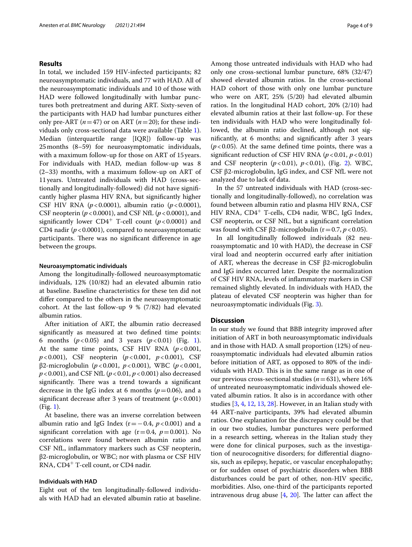#### **Results**

In total, we included 159 HIV-infected participants; 82 neuroasymptomatic individuals, and 77 with HAD. All of the neuroasymptomatic individuals and 10 of those with HAD were followed longitudinally with lumbar punctures both pretreatment and during ART. Sixty-seven of the participants with HAD had lumbar punctures either only pre-ART  $(n=47)$  or on ART  $(n=20)$ ; for these individuals only cross-sectional data were available (Table [1](#page-2-0)). Median (interquartile range [IQR]) follow-up was 25months (8–59) for neuroasymptomatic individuals, with a maximum follow-up for those on ART of 15years. For individuals with HAD, median follow-up was 8 (2–33) months, with a maximum follow-up on ART of 11years. Untreated individuals with HAD (cross-sectionally and longitudinally-followed) did not have signifcantly higher plasma HIV RNA, but signifcantly higher CSF HIV RNA (*p*<0.0001), albumin ratio (*p*<0.0001), CSF neopterin (*p*<0.0001), and CSF NfL (*p*<0.0001), and significantly lower  $CD4^+$  T-cell count ( $p < 0.0001$ ) and CD4 nadir  $(p<0.0001)$ , compared to neuroasymptomatic participants. There was no significant difference in age between the groups.

#### **Neuroasymptomatic individuals**

Among the longitudinally-followed neuroasymptomatic individuals, 12% (10/82) had an elevated albumin ratio at baseline. Baseline characteristics for these ten did not difer compared to the others in the neuroasymptomatic cohort. At the last follow-up 9 % (7/82) had elevated albumin ratios.

After initiation of ART, the albumin ratio decreased signifcantly as measured at two defned time points: 6 months  $(p < 0.05)$  and 3 years  $(p < 0.01)$  $(p < 0.01)$  $(p < 0.01)$  (Fig. 1). At the same time points, CSF HIV RNA  $(p<0.001,$ *p*<0.001), CSF neopterin (*p*<0.001, *p*<0.001), CSF β2-microglobulin (*p*<0.001, *p*<0.001), WBC (*p*<0.001, *p*<0.001), and CSF NfL (*p*<0.01, *p*<0.001) also decreased significantly. There was a trend towards a significant decrease in the IgG index at 6 months  $(p=0.06)$ , and a significant decrease after 3 years of treatment  $(p < 0.001)$ (Fig. [1\)](#page-4-0).

At baseline, there was an inverse correlation between albumin ratio and IgG Index ( $r = 0.4$ ,  $p < 0.001$ ) and a significant correlation with age  $(r=0.4, p=0.001)$ . No correlations were found between albumin ratio and CSF NfL, infammatory markers such as CSF neopterin, β2-microglobulin, or WBC; nor with plasma or CSF HIV RNA, CD4<sup>+</sup> T-cell count, or CD4 nadir.

#### **Individuals with HAD**

Eight out of the ten longitudinally-followed individuals with HAD had an elevated albumin ratio at baseline. Among those untreated individuals with HAD who had only one cross-sectional lumbar puncture, 68% (32/47) showed elevated albumin ratios. In the cross-sectional HAD cohort of those with only one lumbar puncture who were on ART, 25% (5/20) had elevated albumin ratios. In the longitudinal HAD cohort, 20% (2/10) had elevated albumin ratios at their last follow-up. For these ten individuals with HAD who were longitudinally followed, the albumin ratio declined, although not signifcantly, at 6 months; and signifcantly after 3 years  $(p<0.05)$ . At the same defined time points, there was a significant reduction of CSF HIV RNA  $(p < 0.01, p < 0.01)$ and CSF neopterin (*p*<0.01), *p*<0.01), (Fig. [2\)](#page-5-0). WBC, CSF β2-microglobulin, IgG index, and CSF NfL were not analyzed due to lack of data.

In the 57 untreated individuals with HAD (cross-sectionally and longitudinally-followed), no correlation was found between albumin ratio and plasma HIV RNA, CSF HIV RNA, CD4<sup>+</sup> T-cells, CD4 nadir, WBC, IgG Index, CSF neopterin, or CSF NfL, but a signifcant correlation was found with CSF β2-microglobulin ( $r=0.7$ ,  $p < 0.05$ ).

In all longitudinally followed individuals (82 neuroasymptomatic and 10 with HAD), the decrease in CSF viral load and neopterin occurred early after initiation of ART, whereas the decrease in CSF β2-microglobulin and IgG index occurred later. Despite the normalization of CSF HIV RNA, levels of infammatory markers in CSF remained slightly elevated. In individuals with HAD, the plateau of elevated CSF neopterin was higher than for neuroasymptomatic individuals (Fig. [3](#page-5-1)).

#### **Discussion**

In our study we found that BBB integrity improved after initiation of ART in both neuroasymptomatic individuals and in those with HAD. A small proportion (12%) of neuroasymptomatic individuals had elevated albumin ratios before initiation of ART, as opposed to 80% of the individuals with HAD. This is in the same range as in one of our previous cross-sectional studies (*n*=631), where 16% of untreated neuroasymptomatic individuals showed elevated albumin ratios. It also is in accordance with other studies [[3,](#page-7-2) [4](#page-7-5), [12,](#page-7-9) [13,](#page-7-19) [28](#page-8-5)]. However, in an Italian study with 44 ART-naïve participants, 39% had elevated albumin ratios. One explanation for the discrepancy could be that in our two studies, lumbar punctures were performed in a research setting, whereas in the Italian study they were done for clinical purposes, such as the investigation of neurocognitive disorders; for diferential diagnosis, such as epilepsy, hepatic, or vascular encephalopathy; or for sudden onset of psychiatric disorders when BBB disturbances could be part of other, non-HIV specifc, morbidities. Also, one-third of the participants reported intravenous drug abuse  $[4, 20]$  $[4, 20]$  $[4, 20]$  $[4, 20]$  $[4, 20]$ . The latter can affect the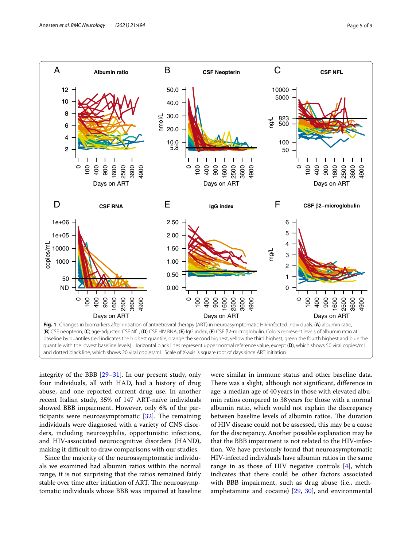

<span id="page-4-0"></span>integrity of the BBB [\[29](#page-8-6)[–31\]](#page-8-7). In our present study, only four individuals, all with HAD, had a history of drug abuse, and one reported current drug use. In another recent Italian study, 35% of 147 ART-naïve individuals showed BBB impairment. However, only 6% of the participants were neuroasymptomatic  $[32]$  $[32]$  $[32]$ . The remaining individuals were diagnosed with a variety of CNS disorders, including neurosyphilis, opportunistic infections, and HIV-associated neurocognitive disorders (HAND), making it difficult to draw comparisons with our studies.

Since the majority of the neuroasymptomatic individuals we examined had albumin ratios within the normal range, it is not surprising that the ratios remained fairly stable over time after initiation of ART. The neuroasymptomatic individuals whose BBB was impaired at baseline

were similar in immune status and other baseline data. There was a slight, although not significant, difference in age: a median age of 40years in those with elevated albumin ratios compared to 38years for those with a normal albumin ratio, which would not explain the discrepancy between baseline levels of albumin ratios. The duration of HIV disease could not be assessed, this may be a cause for the discrepancy. Another possible explanation may be that the BBB impairment is not related to the HIV-infection. We have previously found that neuroasymptomatic HIV-infected individuals have albumin ratios in the same range in as those of HIV negative controls  $[4]$  $[4]$ , which indicates that there could be other factors associated with BBB impairment, such as drug abuse (i.e., methamphetamine and cocaine) [\[29,](#page-8-6) [30\]](#page-8-9), and environmental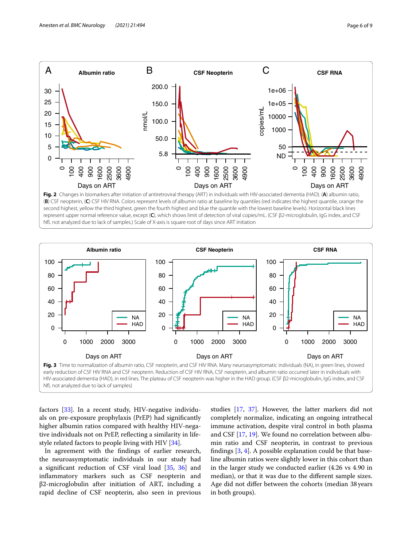

<span id="page-5-0"></span>(**B**) CSF neopterin, (**C**) CSF HIV RNA. Colors represent levels of albumin ratio at baseline by quantiles (red indicates the highest quantile, orange the second highest, yellow the third highest, green the fourth highest and blue the quantile with the lowest baseline levels). Horizontal black lines represent upper normal reference value, except (**C**), which shows limit of detection of viral copies/mL. (CSF β2-microglobulin, IgG index, and CSF NfL not analyzed due to lack of samples.) Scale of X-axis is square root of days since ART initiation



<span id="page-5-1"></span>factors [\[33](#page-8-10)]. In a recent study, HIV-negative individuals on pre-exposure prophylaxis (PrEP) had signifcantly higher albumin ratios compared with healthy HIV-negative individuals not on PrEP, refecting a similarity in lifestyle related factors to people living with HIV [\[34](#page-8-11)].

In agreement with the fndings of earlier research, the neuroasymptomatic individuals in our study had a signifcant reduction of CSF viral load [[35,](#page-8-12) [36](#page-8-13)] and infammatory markers such as CSF neopterin and β2-microglobulin after initiation of ART, including a rapid decline of CSF neopterin, also seen in previous

studies [[17](#page-7-14), [37\]](#page-8-14). However, the latter markers did not completely normalize, indicating an ongoing intrathecal immune activation, despite viral control in both plasma and CSF [\[17,](#page-7-14) [19](#page-7-15)]. We found no correlation between albumin ratio and CSF neopterin, in contrast to previous fndings [\[3](#page-7-2), [4\]](#page-7-5). A possible explanation could be that baseline albumin ratios were slightly lower in this cohort than in the larger study we conducted earlier (4.26 vs 4.90 in median), or that it was due to the diferent sample sizes. Age did not difer between the cohorts (median 38 years in both groups).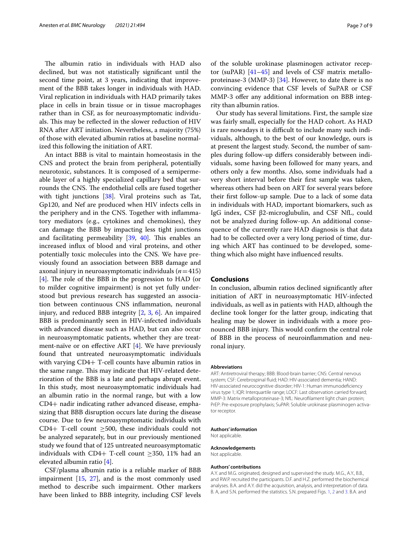The albumin ratio in individuals with HAD also declined, but was not statistically signifcant until the second time point, at 3 years, indicating that improvement of the BBB takes longer in individuals with HAD. Viral replication in individuals with HAD primarily takes place in cells in brain tissue or in tissue macrophages rather than in CSF, as for neuroasymptomatic individuals. This may be reflected in the slower reduction of HIV RNA after ART initiation. Nevertheless, a majority (75%) of those with elevated albumin ratios at baseline normalized this following the initiation of ART.

An intact BBB is vital to maintain homeostasis in the CNS and protect the brain from peripheral, potentially neurotoxic, substances. It is composed of a semipermeable layer of a highly specialized capillary bed that surrounds the CNS. The endothelial cells are fused together with tight junctions [[38\]](#page-8-15). Viral proteins such as Tat, Gp120, and Nef are produced when HIV infects cells in the periphery and in the CNS. Together with infammatory mediators (e.g., cytokines and chemokines), they can damage the BBB by impacting less tight junctions and facilitating permeability  $[39, 40]$  $[39, 40]$  $[39, 40]$  $[39, 40]$ . This enables an increased infux of blood and viral proteins, and other potentially toxic molecules into the CNS. We have previously found an association between BBB damage and axonal injury in neuroasymptomatic individuals (*n*=415)  $[4]$  $[4]$ . The role of the BBB in the progression to HAD (or to milder cognitive impairment) is not yet fully understood but previous research has suggested an association between continuous CNS infammation, neuronal injury, and reduced BBB integrity [\[2](#page-7-1), [3,](#page-7-2) [6](#page-7-4)]. An impaired BBB is predominantly seen in HIV-infected individuals with advanced disease such as HAD, but can also occur in neuroasymptomatic patients, whether they are treatment-naïve or on efective ART [[4](#page-7-5)]. We have previously found that untreated neuroasymptomatic individuals with varying CD4+ T-cell counts have albumin ratios in the same range. This may indicate that HIV-related deterioration of the BBB is a late and perhaps abrupt event. In this study, most neuroasymptomatic individuals had an albumin ratio in the normal range, but with a low CD4+ nadir indicating rather advanced disease, emphasizing that BBB disruption occurs late during the disease course. Due to few neuroasymptomatic individuals with CD4+ T-cell count  $\geq$ 500, these individuals could not be analyzed separately, but in our previously mentioned study we found that of 125 untreated neuroasymptomatic individuals with CD4+ T-cell count  $\geq$ 350, 11% had an elevated albumin ratio [\[4](#page-7-5)].

CSF/plasma albumin ratio is a reliable marker of BBB impairment [[15,](#page-7-11) [27](#page-8-4)], and is the most commonly used method to describe such impairment. Other markers have been linked to BBB integrity, including CSF levels of the soluble urokinase plasminogen activator receptor (suPAR) [[41](#page-8-18)[–45](#page-8-19)] and levels of CSF matrix metalloproteinase-3 (MMP-3) [[34](#page-8-11)]. However, to date there is no convincing evidence that CSF levels of SuPAR or CSF MMP-3 offer any additional information on BBB integrity than albumin ratios.

Our study has several limitations. First, the sample size was fairly small, especially for the HAD cohort. As HAD is rare nowadays it is difficult to include many such individuals, although, to the best of our knowledge, ours is at present the largest study. Second, the number of samples during follow-up difers considerably between individuals, some having been followed for many years, and others only a few months. Also, some individuals had a very short interval before their frst sample was taken, whereas others had been on ART for several years before their frst follow-up sample. Due to a lack of some data in individuals with HAD, important biomarkers, such as IgG index, CSF β2-microglubulin, and CSF NfL, could not be analyzed during follow-up. An additional consequence of the currently rare HAD diagnosis is that data had to be collected over a very long period of time, during which ART has continued to be developed, something which also might have infuenced results.

#### **Conclusions**

In conclusion, albumin ratios declined signifcantly after initiation of ART in neuroasymptomatic HIV-infected individuals, as well as in patients with HAD, although the decline took longer for the latter group, indicating that healing may be slower in individuals with a more pronounced BBB injury. This would confirm the central role of BBB in the process of neuroinfammation and neuronal injury.

#### **Abbreviations**

ART: Antiretroviral therapy; BBB: Blood-brain barrier; CNS: Central nervous system; CSF: Cerebrospinal fuid; HAD: HIV-associated dementia; HAND: HIV-associated neurocognitive disorder; HIV-1: Human immunodefciency virus type 1; IQR: Interquartile range; LOCF: Last observation carried forward; MMP-3: Matrix metalloproteinase-3; NfL: Neuroflament light chain protein; PrEP: Pre-exposure prophylaxis; SuPAR: Soluble urokinase plasminogen activator receptor.

#### **Authors' information**

Not applicable.

**Acknowledgements** Not applicable.

#### **Authors' contributions**

A.Y. and M.G. originated, designed and supervised the study. M.G., A.Y., B.B., and RW.P. recruited the participants. D.F. and H.Z. performed the biochemical analyses. B.A. and A.Y. did the acquisition, analysis, and interpretation of data. B. A, and S.N. performed the statistics. S.N. prepared Figs. [1,](#page-4-0) [2](#page-5-0) and [3.](#page-5-1) B.A. and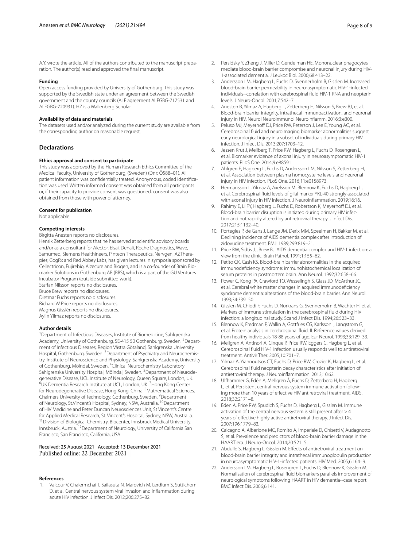#### **Funding**

Open access funding provided by University of Gothenburg. This study was supported by the Swedish state under an agreement between the Swedish government and the county councils (ALF agreement ALFGBG-717531 and ALFGBG-720931). HZ is a Wallenberg Scholar.

#### **Availability of data and materials**

The datasets used and/or analyzed during the current study are available from the corresponding author on reasonable request.

#### **Declarations**

#### **Ethics approval and consent to participate**

This study was approved by the Human Research Ethics Committee of the Medical Faculty, University of Gothenburg, (Sweden) (Dnr: Ö588–01). All patient information was confdentially treated. Anonymous, coded identifcation was used. Written informed consent was obtained from all participants or, if their capacity to provide consent was questioned, consent was also obtained from those with power of attorney.

#### **Consent for publication**

Not applicable.

#### **Competing interests**

Birgitta Anesten reports no disclosures.

Henrik Zetterberg reports that he has served at scientifc advisory boards and/or as a consultant for Alector, Eisai, Denali, Roche Diagnostics, Wave, Samumed, Siemens Healthineers, Pinteon Therapeutics, Nervgen, AZTherapies, CogRx and Red Abbey Labs, has given lectures in symposia sponsored by Cellectricon, Fujirebio, Alzecure and Biogen, and is a co-founder of Brain Biomarker Solutions in Gothenburg AB (BBS), which is a part of the GU Ventures Incubator Program (outside submitted work).

Stafan Nilsson reports no disclosures.

Bruce Brew reports no disclosures. Dietmar Fuchs reports no disclosures.

Richard W Price reports no disclosures. Magnus Gisslén reports no disclosures.

Aylin Yilmaz reports no disclosures.

#### **Author details**

<sup>1</sup> Department of Infectious Diseases, Institute of Biomedicine, Sahlgrenska Academy, University of Gothenburg, SE-415 50 Gothenburg, Sweden. <sup>2</sup> Department of Infectious Diseases, Region Västra Götaland, Sahlgrenska University Hospital, Gothenburg, Sweden. <sup>3</sup> Department of Psychiatry and Neurochemistry, Institute of Neuroscience and Physiology, Sahlgrenska Academy, University of Gothenburg, Mölndal, Sweden. <sup>4</sup>Clinical Neurochemistry Laboratory Sahlgrenska University Hospital, Mölndal, Sweden. <sup>5</sup> Department of Neurodegenerative Disease, UCL Institute of Neurology, Queen Square, London, UK. 6 UK Dementia Research Institute at UCL, London, UK. <sup>7</sup> Hong Kong Center for Neurodegenerative Disease, Hong Kong, China. <sup>8</sup>Mathematical Sciences, Chalmers University of Technology, Gothenburg, Sweden. <sup>9</sup> Department of Neurology, St.Vincent's Hospital, Sydney, NSW, Australia. 10Department of HIV Medicine and Peter Duncan Neurosciences Unit, St Vincent's Centre for Applied Medical Research, St. Vincent's Hospital, Sydney, NSW, Australia.<br><sup>11</sup> Division of Biological Chemistry, Biocenter, Innsbruck Medical University, Innsbruck, Austria. 12Department of Neurology, University of California San Francisco, San Francisco, California, USA.

# Received: 25 August 2021 Accepted: 13 December 2021

#### **References**

<span id="page-7-0"></span>Valcour V, Chalermchai T, Sailasuta N, Marovich M, Lerdlum S, Suttichom D, et al. Central nervous system viral invasion and infammation during acute HIV infection. J Infect Dis. 2012;206:275–82.

- <span id="page-7-1"></span>2. Persidsky Y, Zheng J, Miller D, Gendelman HE. Mononuclear phagocytes mediate blood-brain barrier compromise and neuronal injury during HIV-1-associated dementia. J Leukoc Biol. 2000;68:413–22.
- <span id="page-7-2"></span>3. Andersson LM, Hagberg L, Fuchs D, Svennerholm B, Gisslen M. Increased blood-brain barrier permeability in neuro-asymptomatic HIV-1-infected individuals--correlation with cerebrospinal fuid HIV-1 RNA and neopterin levels. J Neuro-Oncol. 2001;7:542–7.
- <span id="page-7-5"></span>4. Anesten B, Yilmaz A, Hagberg L, Zetterberg H, Nilsson S, Brew BJ, et al. Blood-brain barrier integrity, intrathecal immunoactivation, and neuronal injury in HIV. Neurol Neuroimmunol Neuroinfamm. 2016;3:e300.
- <span id="page-7-3"></span>5. Peluso MJ, Meyerhoff DJ, Price RW, Peterson J, Lee E, Young AC, et al. Cerebrospinal fuid and neuroimaging biomarker abnormalities suggest early neurological injury in a subset of individuals during primary HIV infection. J Infect Dis. 2013;207:1703–12.
- <span id="page-7-4"></span>6. Jessen Krut J, Mellberg T, Price RW, Hagberg L, Fuchs D, Rosengren L, et al. Biomarker evidence of axonal injury in neuroasymptomatic HIV-1 patients. PLoS One. 2014;9:e88591.
- 7. Ahlgren E, Hagberg L, Fuchs D, Andersson LM, Nilsson S, Zetterberg H, et al. Association between plasma homocysteine levels and neuronal injury in HIV infection. PLoS One. 2016;11:e0158973.
- 8. Hermansson L, Yilmaz A, Axelsson M, Blennow K, Fuchs D, Hagberg L, et al. Cerebrospinal fuid levels of glial marker YKL-40 strongly associated with axonal injury in HIV infection. J Neuroinfammation. 2019;16:16.
- <span id="page-7-6"></span>9. Rahimy E, Li FY, Hagberg L, Fuchs D, Robertson K, Meyerhoff DJ, et al. Blood-brain barrier disruption is initiated during primary HIV infection and not rapidly altered by antiretroviral therapy. J Infect Dis. 2017;215:1132–40.
- <span id="page-7-7"></span>10. Portegies P, de Gans J, Lange JM, Derix MM, Speelman H, Bakker M, et al. Declining incidence of AIDS dementia complex after introduction of zidovudine treatment. BMJ. 1989;299:819–21.
- <span id="page-7-8"></span>11. Price RW, Sidtis JJ, Brew BJ. AIDS dementia complex and HIV-1 infection: a view from the clinic. Brain Pathol. 1991;1:155–62.
- <span id="page-7-9"></span>12. Petito CK, Cash KS. Blood-brain barrier abnormalities in the acquired immunodefciency syndrome: immunohistochemical localization of serum proteins in postmortem brain. Ann Neurol. 1992;32:658–66.
- <span id="page-7-19"></span>13. Power C, Kong PA, Crawford TO, Wesselingh S, Glass JD, McArthur JC, et al. Cerebral white matter changes in acquired immunodefciency syndrome dementia: alterations of the blood-brain barrier. Ann Neurol. 1993;34:339–50.
- <span id="page-7-10"></span>14. Gisslen M, Chiodi F, Fuchs D, Norkrans G, Svennerholm B, Wachter H, et al. Markers of immune stimulation in the cerebrospinal fuid during HIV infection: a longitudinal study. Scand J Infect Dis. 1994;26:523–33.
- <span id="page-7-11"></span>15. Blennow K, Fredman P, Wallin A, Gottfries CG, Karlsson I, Langstrom G, et al. Protein analysis in cerebrospinal fuid. II. Reference values derived from healthy individuals 18-88 years of age. Eur Neurol. 1993;33:129–33.
- <span id="page-7-12"></span>16. Mellgren A, Antinori A, Cinque P, Price RW, Eggers C, Hagberg L, et al. Cerebrospinal fuid HIV-1 infection usually responds well to antiretroviral treatment. Antivir Ther. 2005;10:701–7.
- <span id="page-7-14"></span>17. Yilmaz A, Yiannoutsos CT, Fuchs D, Price RW, Crozier K, Hagberg L, et al. Cerebrospinal fuid neopterin decay characteristics after initiation of antiretroviral therapy. J Neuroinfammation. 2013;10:62.
- <span id="page-7-13"></span>18. Ulfhammer G, Edén A, Mellgren Å, Fuchs D, Zetterberg H, Hagberg L, et al. Persistent central nervous system immune activation following more than 10 years of effective HIV antiretroviral treatment. AIDS. 2018;32:2171–8.
- <span id="page-7-15"></span>19. Eden A, Price RW, Spudich S, Fuchs D, Hagberg L, Gisslen M. Immune activation of the central nervous system is still present after > 4 years of efective highly active antiretroviral therapy. J Infect Dis. 2007;196:1779–83.
- <span id="page-7-16"></span>20. Calcagno A, Alberione MC, Romito A, Imperiale D, Ghisetti V, Audagnotto S, et al. Prevalence and predictors of blood-brain barrier damage in the HAART era. J Neuro-Oncol. 2014;20:521–5.
- <span id="page-7-17"></span>21. Abdulle S, Hagberg L, Gisslen M. Effects of antiretroviral treatment on blood-brain barrier integrity and intrathecal immunoglobulin production in neuroasymptomatic HIV-1-infected patients. HIV Med. 2005;6:164–9.
- <span id="page-7-18"></span>22. Andersson LM, Hagberg L, Rosengren L, Fuchs D, Blennow K, Gisslen M. Normalisation of cerebrospinal fuid biomarkers parallels improvement of neurological symptoms following HAART in HIV dementia--case report. BMC Infect Dis. 2006;6:141.